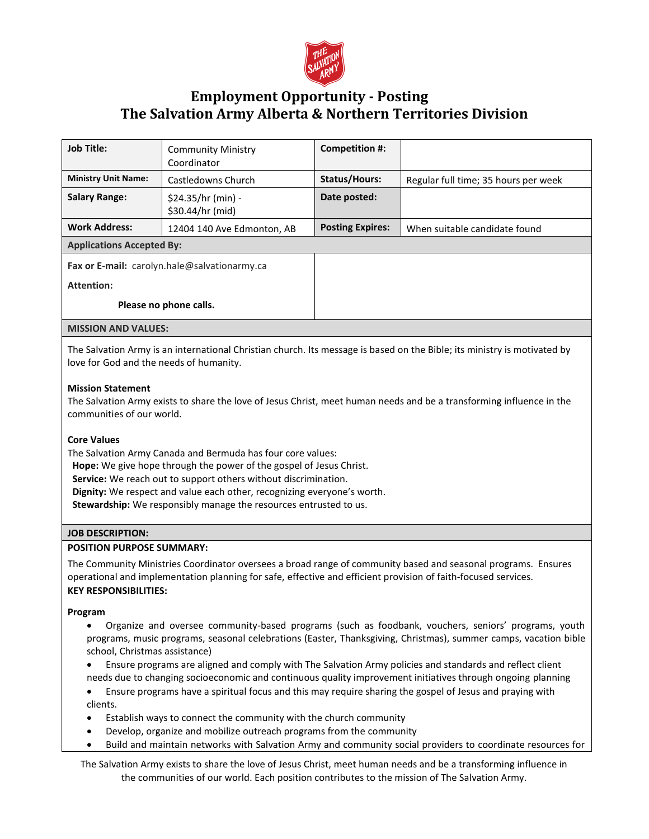

# **Employment Opportunity - Posting The Salvation Army Alberta & Northern Territories Division**

| <b>Job Title:</b>                                                                                                                                                                                                                                                                                                                                                           | <b>Community Ministry</b><br>Coordinator | <b>Competition #:</b>   |                                      |
|-----------------------------------------------------------------------------------------------------------------------------------------------------------------------------------------------------------------------------------------------------------------------------------------------------------------------------------------------------------------------------|------------------------------------------|-------------------------|--------------------------------------|
| <b>Ministry Unit Name:</b>                                                                                                                                                                                                                                                                                                                                                  | Castledowns Church                       | <b>Status/Hours:</b>    | Regular full time; 35 hours per week |
| <b>Salary Range:</b>                                                                                                                                                                                                                                                                                                                                                        | \$24.35/hr (min) -<br>\$30.44/hr (mid)   | Date posted:            |                                      |
| <b>Work Address:</b>                                                                                                                                                                                                                                                                                                                                                        | 12404 140 Ave Edmonton, AB               | <b>Posting Expires:</b> | When suitable candidate found        |
| <b>Applications Accepted By:</b>                                                                                                                                                                                                                                                                                                                                            |                                          |                         |                                      |
| Fax or E-mail: carolyn.hale@salvationarmy.ca                                                                                                                                                                                                                                                                                                                                |                                          |                         |                                      |
| <b>Attention:</b>                                                                                                                                                                                                                                                                                                                                                           |                                          |                         |                                      |
| Please no phone calls.                                                                                                                                                                                                                                                                                                                                                      |                                          |                         |                                      |
|                                                                                                                                                                                                                                                                                                                                                                             |                                          |                         |                                      |
| <b>MISSION AND VALUES:</b>                                                                                                                                                                                                                                                                                                                                                  |                                          |                         |                                      |
| The Salvation Army is an international Christian church. Its message is based on the Bible; its ministry is motivated by<br>love for God and the needs of humanity.                                                                                                                                                                                                         |                                          |                         |                                      |
| <b>Mission Statement</b><br>The Salvation Army exists to share the love of Jesus Christ, meet human needs and be a transforming influence in the<br>communities of our world.                                                                                                                                                                                               |                                          |                         |                                      |
| <b>Core Values</b><br>The Salvation Army Canada and Bermuda has four core values:<br>Hope: We give hope through the power of the gospel of Jesus Christ.<br>Service: We reach out to support others without discrimination.<br>Dignity: We respect and value each other, recognizing everyone's worth.<br>Stewardship: We responsibly manage the resources entrusted to us. |                                          |                         |                                      |
| <b>JOB DESCRIPTION:</b>                                                                                                                                                                                                                                                                                                                                                     |                                          |                         |                                      |
| <b>POSITION PURPOSE SUMMARY:</b>                                                                                                                                                                                                                                                                                                                                            |                                          |                         |                                      |
| The Community Ministries Coordinator oversees a broad range of community based and seasonal programs. Ensures<br>operational and implementation planning for safe, effective and efficient provision of faith-focused services.<br><b>KEY RESPONSIBILITIES:</b>                                                                                                             |                                          |                         |                                      |
| Program                                                                                                                                                                                                                                                                                                                                                                     |                                          |                         |                                      |
| Organize and oversee community-based programs (such as foodbank, vouchers, seniors' programs, youth<br>$\bullet$                                                                                                                                                                                                                                                            |                                          |                         |                                      |

- programs, music programs, seasonal celebrations (Easter, Thanksgiving, Christmas), summer camps, vacation bible school, Christmas assistance)
- Ensure programs are aligned and comply with The Salvation Army policies and standards and reflect client needs due to changing socioeconomic and continuous quality improvement initiatives through ongoing planning
- Ensure programs have a spiritual focus and this may require sharing the gospel of Jesus and praying with clients.
- Establish ways to connect the community with the church community
- Develop, organize and mobilize outreach programs from the community
- Build and maintain networks with Salvation Army and community social providers to coordinate resources for

The Salvation Army exists to share the love of Jesus Christ, meet human needs and be a transforming influence in the communities of our world. Each position contributes to the mission of The Salvation Army.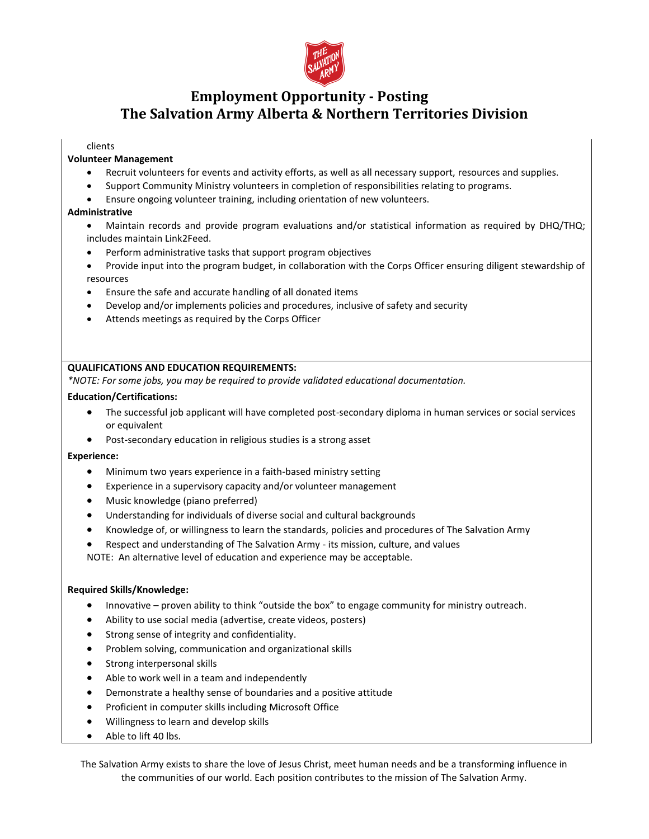

# **Employment Opportunity - Posting The Salvation Army Alberta & Northern Territories Division**

### clients

#### **Volunteer Management**

- Recruit volunteers for events and activity efforts, as well as all necessary support, resources and supplies.
- Support Community Ministry volunteers in completion of responsibilities relating to programs.
- Ensure ongoing volunteer training, including orientation of new volunteers.

#### **Administrative**

- Maintain records and provide program evaluations and/or statistical information as required by DHQ/THQ; includes maintain Link2Feed.
- Perform administrative tasks that support program objectives
- Provide input into the program budget, in collaboration with the Corps Officer ensuring diligent stewardship of resources
- Ensure the safe and accurate handling of all donated items
- Develop and/or implements policies and procedures, inclusive of safety and security
- Attends meetings as required by the Corps Officer

#### **QUALIFICATIONS AND EDUCATION REQUIREMENTS:**

*\*NOTE: For some jobs, you may be required to provide validated educational documentation.* 

#### **Education/Certifications:**

- The successful job applicant will have completed post-secondary diploma in human services or social services or equivalent
- Post-secondary education in religious studies is a strong asset

#### **Experience:**

- Minimum two years experience in a faith-based ministry setting
- Experience in a supervisory capacity and/or volunteer management
- Music knowledge (piano preferred)
- Understanding for individuals of diverse social and cultural backgrounds
- Knowledge of, or willingness to learn the standards, policies and procedures of The Salvation Army
- Respect and understanding of The Salvation Army its mission, culture, and values

NOTE: An alternative level of education and experience may be acceptable.

### **Required Skills/Knowledge:**

- Innovative proven ability to think "outside the box" to engage community for ministry outreach.
- Ability to use social media (advertise, create videos, posters)
- Strong sense of integrity and confidentiality.
- Problem solving, communication and organizational skills
- Strong interpersonal skills
- Able to work well in a team and independently
- Demonstrate a healthy sense of boundaries and a positive attitude
- Proficient in computer skills including Microsoft Office
- Willingness to learn and develop skills
- Able to lift 40 lbs.

The Salvation Army exists to share the love of Jesus Christ, meet human needs and be a transforming influence in the communities of our world. Each position contributes to the mission of The Salvation Army.